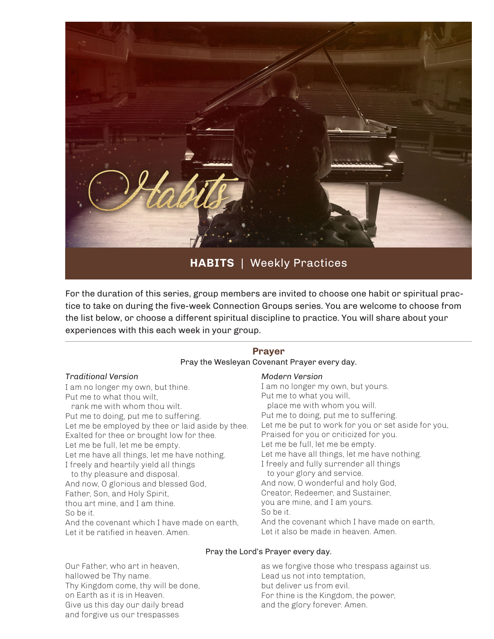

**HABITS** | Weekly Practices

For the duration of this series, group members are invited to choose one habit or spiritual practice to take on during the five-week Connection Groups series. You are welcome to choose from the list below, or choose a different spiritual discipline to practice. You will share about your experiences with this each week in your group.

## **Prayer** Pray the Wesleyan Covenant Prayer every day.

#### *Traditional Version*

I am no longer my own, but thine. Put me to what thou wilt, rank me with whom thou wilt. Put me to doing, put me to suffering. Let me be employed by thee or laid aside by thee. Exalted for thee or brought low for thee. Let me be full, let me be empty. Let me have all things, let me have nothing. I freely and heartily yield all things to thy pleasure and disposal. And now, O glorious and blessed God, Father, Son, and Holy Spirit, thou art mine, and I am thine. So be it. And the covenant which I have made on earth

Let it be ratified in heaven. Amen.

### *Modern Version*

I am no longer my own, but yours. Put me to what you will, place me with whom you will. Put me to doing, put me to suffering. Let me be put to work for you or set aside for you, Praised for you or criticized for you. Let me be full, let me be empty. Let me have all things, let me have nothing. I freely and fully surrender all things to your glory and service. And now, O wonderful and holy God, Creator, Redeemer, and Sustainer, you are mine, and I am yours. So be it. And the covenant which I have made on earth, Let it also be made in heaven. Amen.

### Pray the Lord's Prayer every day.

as we forgive those who trespass against us. Lead us not into temptation, but deliver us from evil. For thine is the Kingdom, the power, and the glory forever. Amen.

Our Father, who art in heaven, hallowed be Thy name. Thy Kingdom come, thy will be done, on Earth as it is in Heaven. Give us this day our daily bread and forgive us our trespasses